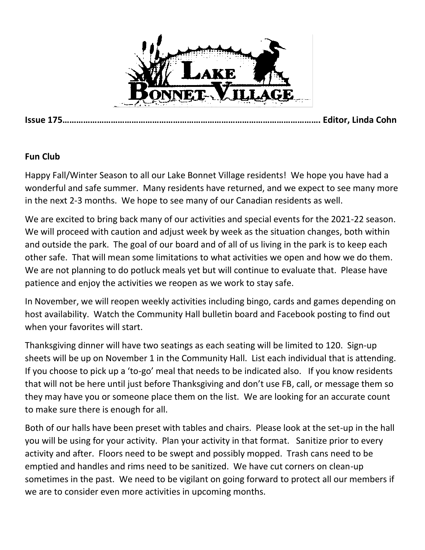

**Issue 175…………………………………………………………………………………………………. Editor, Linda Cohn**

#### **Fun Club**

Happy Fall/Winter Season to all our Lake Bonnet Village residents! We hope you have had a wonderful and safe summer. Many residents have returned, and we expect to see many more in the next 2-3 months. We hope to see many of our Canadian residents as well.

We are excited to bring back many of our activities and special events for the 2021-22 season. We will proceed with caution and adjust week by week as the situation changes, both within and outside the park. The goal of our board and of all of us living in the park is to keep each other safe. That will mean some limitations to what activities we open and how we do them. We are not planning to do potluck meals yet but will continue to evaluate that. Please have patience and enjoy the activities we reopen as we work to stay safe.

In November, we will reopen weekly activities including bingo, cards and games depending on host availability. Watch the Community Hall bulletin board and Facebook posting to find out when your favorites will start.

Thanksgiving dinner will have two seatings as each seating will be limited to 120. Sign-up sheets will be up on November 1 in the Community Hall. List each individual that is attending. If you choose to pick up a 'to-go' meal that needs to be indicated also. If you know residents that will not be here until just before Thanksgiving and don't use FB, call, or message them so they may have you or someone place them on the list. We are looking for an accurate count to make sure there is enough for all.

Both of our halls have been preset with tables and chairs. Please look at the set-up in the hall you will be using for your activity. Plan your activity in that format. Sanitize prior to every activity and after. Floors need to be swept and possibly mopped. Trash cans need to be emptied and handles and rims need to be sanitized. We have cut corners on clean-up sometimes in the past. We need to be vigilant on going forward to protect all our members if we are to consider even more activities in upcoming months.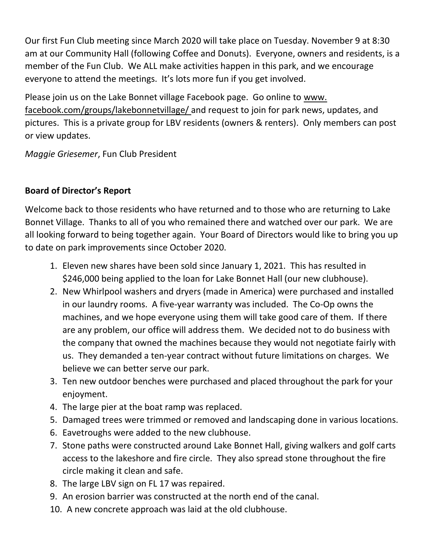Our first Fun Club meeting since March 2020 will take place on Tuesday. November 9 at 8:30 am at our Community Hall (following Coffee and Donuts). Everyone, owners and residents, is a member of the Fun Club. We ALL make activities happen in this park, and we encourage everyone to attend the meetings. It's lots more fun if you get involved.

Please join us on the Lake Bonnet village Facebook page. Go online to www. facebook.com/groups/lakebonnetvillage/ and request to join for park news, updates, and pictures. This is a private group for LBV residents (owners & renters). Only members can post or view updates.

*Maggie Griesemer*, Fun Club President

# **Board of Director's Report**

Welcome back to those residents who have returned and to those who are returning to Lake Bonnet Village. Thanks to all of you who remained there and watched over our park. We are all looking forward to being together again. Your Board of Directors would like to bring you up to date on park improvements since October 2020.

- 1. Eleven new shares have been sold since January 1, 2021. This has resulted in \$246,000 being applied to the loan for Lake Bonnet Hall (our new clubhouse).
- 2. New Whirlpool washers and dryers (made in America) were purchased and installed in our laundry rooms. A five-year warranty was included. The Co-Op owns the machines, and we hope everyone using them will take good care of them. If there are any problem, our office will address them. We decided not to do business with the company that owned the machines because they would not negotiate fairly with us. They demanded a ten-year contract without future limitations on charges. We believe we can better serve our park.
- 3. Ten new outdoor benches were purchased and placed throughout the park for your enjoyment.
- 4. The large pier at the boat ramp was replaced.
- 5. Damaged trees were trimmed or removed and landscaping done in various locations.
- 6. Eavetroughs were added to the new clubhouse.
- 7. Stone paths were constructed around Lake Bonnet Hall, giving walkers and golf carts access to the lakeshore and fire circle. They also spread stone throughout the fire circle making it clean and safe.
- 8. The large LBV sign on FL 17 was repaired.
- 9. An erosion barrier was constructed at the north end of the canal.
- 10. A new concrete approach was laid at the old clubhouse.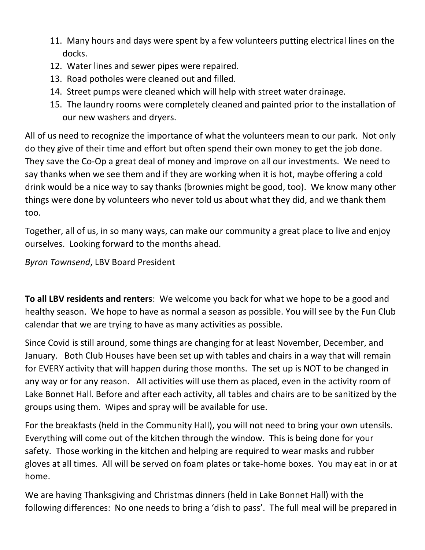- 11. Many hours and days were spent by a few volunteers putting electrical lines on the docks.
- 12. Water lines and sewer pipes were repaired.
- 13. Road potholes were cleaned out and filled.
- 14. Street pumps were cleaned which will help with street water drainage.
- 15. The laundry rooms were completely cleaned and painted prior to the installation of our new washers and dryers.

All of us need to recognize the importance of what the volunteers mean to our park. Not only do they give of their time and effort but often spend their own money to get the job done. They save the Co-Op a great deal of money and improve on all our investments. We need to say thanks when we see them and if they are working when it is hot, maybe offering a cold drink would be a nice way to say thanks (brownies might be good, too). We know many other things were done by volunteers who never told us about what they did, and we thank them too.

Together, all of us, in so many ways, can make our community a great place to live and enjoy ourselves. Looking forward to the months ahead.

*Byron Townsend*, LBV Board President

**To all LBV residents and renters**: We welcome you back for what we hope to be a good and healthy season. We hope to have as normal a season as possible. You will see by the Fun Club calendar that we are trying to have as many activities as possible.

Since Covid is still around, some things are changing for at least November, December, and January. Both Club Houses have been set up with tables and chairs in a way that will remain for EVERY activity that will happen during those months. The set up is NOT to be changed in any way or for any reason. All activities will use them as placed, even in the activity room of Lake Bonnet Hall. Before and after each activity, all tables and chairs are to be sanitized by the groups using them. Wipes and spray will be available for use.

For the breakfasts (held in the Community Hall), you will not need to bring your own utensils. Everything will come out of the kitchen through the window. This is being done for your safety. Those working in the kitchen and helping are required to wear masks and rubber gloves at all times. All will be served on foam plates or take-home boxes. You may eat in or at home.

We are having Thanksgiving and Christmas dinners (held in Lake Bonnet Hall) with the following differences: No one needs to bring a 'dish to pass'. The full meal will be prepared in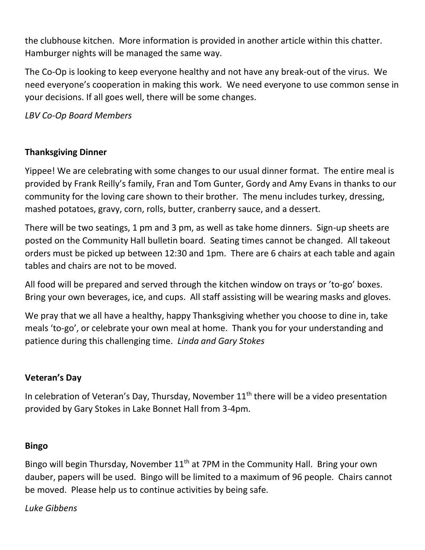the clubhouse kitchen. More information is provided in another article within this chatter. Hamburger nights will be managed the same way.

The Co-Op is looking to keep everyone healthy and not have any break-out of the virus. We need everyone's cooperation in making this work. We need everyone to use common sense in your decisions. If all goes well, there will be some changes.

*LBV Co-Op Board Members*

## **Thanksgiving Dinner**

Yippee! We are celebrating with some changes to our usual dinner format. The entire meal is provided by Frank Reilly's family, Fran and Tom Gunter, Gordy and Amy Evans in thanks to our community for the loving care shown to their brother. The menu includes turkey, dressing, mashed potatoes, gravy, corn, rolls, butter, cranberry sauce, and a dessert.

There will be two seatings, 1 pm and 3 pm, as well as take home dinners. Sign-up sheets are posted on the Community Hall bulletin board. Seating times cannot be changed. All takeout orders must be picked up between 12:30 and 1pm. There are 6 chairs at each table and again tables and chairs are not to be moved.

All food will be prepared and served through the kitchen window on trays or 'to-go' boxes. Bring your own beverages, ice, and cups. All staff assisting will be wearing masks and gloves.

We pray that we all have a healthy, happy Thanksgiving whether you choose to dine in, take meals 'to-go', or celebrate your own meal at home. Thank you for your understanding and patience during this challenging time. *Linda and Gary Stokes*

## **Veteran's Day**

In celebration of Veteran's Day, Thursday, November  $11<sup>th</sup>$  there will be a video presentation provided by Gary Stokes in Lake Bonnet Hall from 3-4pm.

#### **Bingo**

Bingo will begin Thursday, November  $11<sup>th</sup>$  at 7PM in the Community Hall. Bring your own dauber, papers will be used. Bingo will be limited to a maximum of 96 people. Chairs cannot be moved. Please help us to continue activities by being safe.

#### *Luke Gibbens*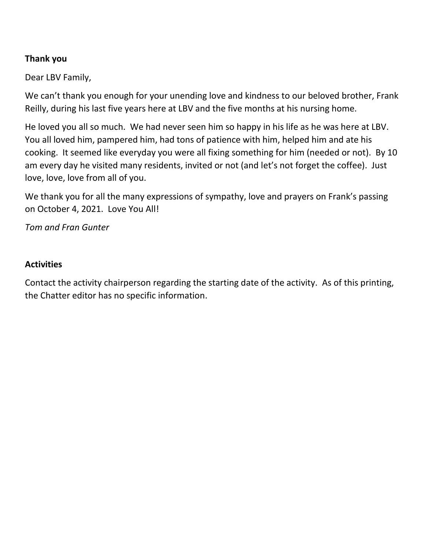## **Thank you**

Dear LBV Family,

We can't thank you enough for your unending love and kindness to our beloved brother, Frank Reilly, during his last five years here at LBV and the five months at his nursing home.

He loved you all so much. We had never seen him so happy in his life as he was here at LBV. You all loved him, pampered him, had tons of patience with him, helped him and ate his cooking. It seemed like everyday you were all fixing something for him (needed or not). By 10 am every day he visited many residents, invited or not (and let's not forget the coffee). Just love, love, love from all of you.

We thank you for all the many expressions of sympathy, love and prayers on Frank's passing on October 4, 2021. Love You All!

*Tom and Fran Gunter*

#### **Activities**

Contact the activity chairperson regarding the starting date of the activity. As of this printing, the Chatter editor has no specific information.